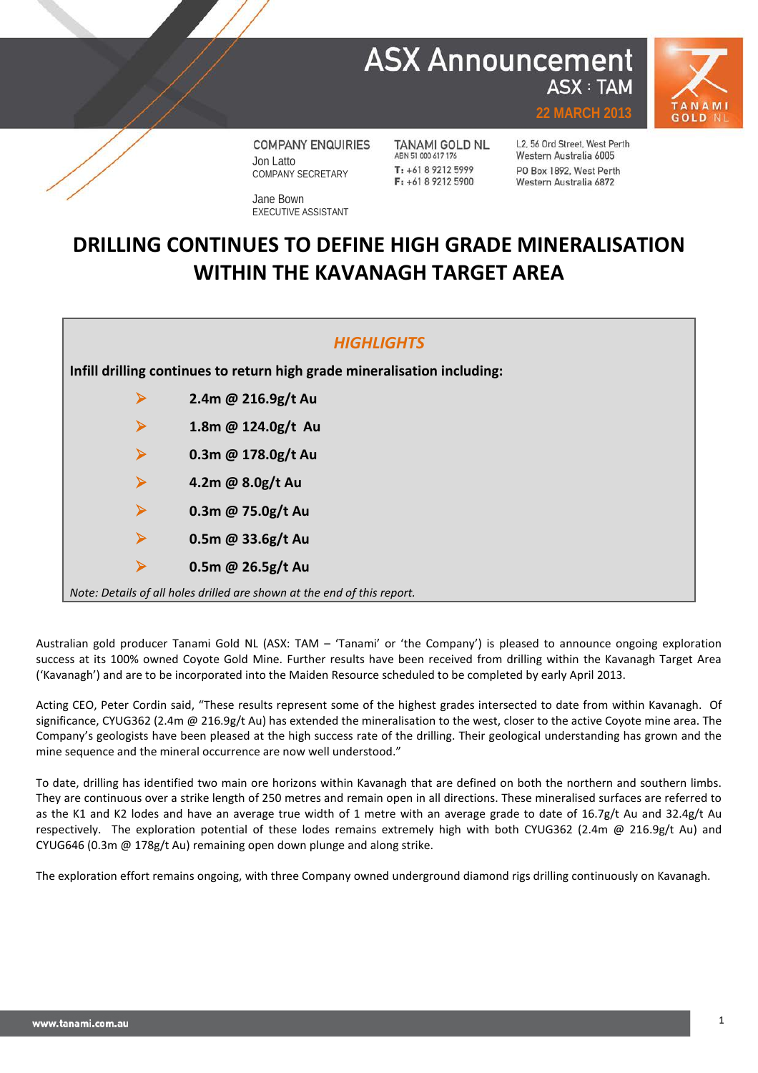## **ASX Announcement ASX: TAM**



**COMPANY ENQUIRIES** Jon Latto COMPANY SECRETARY

Jane Bown EXECUTIVE ASSISTANT

**TANAMI GOLD NL** ABN 51 000 617 176 T: +61 8 9212 5999  $F: +61892125900$ 

L2, 56 Ord Street, West Perth Western Australia 6005 PO Box 1892, West Perth Western Australia 6872

**22 MARCH 2013**

## **DRILLING CONTINUES TO DEFINE HIGH GRADE MINERALISATION WITHIN THE KAVANAGH TARGET AREA**

| <b>HIGHLIGHTS</b>                                                        |                      |  |  |  |  |  |  |  |
|--------------------------------------------------------------------------|----------------------|--|--|--|--|--|--|--|
| Infill drilling continues to return high grade mineralisation including: |                      |  |  |  |  |  |  |  |
| $\blacktriangleright$                                                    | 2.4m @ 216.9g/t Au   |  |  |  |  |  |  |  |
| ➤                                                                        | 1.8m @ 124.0g/t Au   |  |  |  |  |  |  |  |
| $\blacktriangleright$                                                    | 0.3m @ $178.0g/t$ Au |  |  |  |  |  |  |  |
| $\blacktriangleright$                                                    | 4.2m @ 8.0g/t Au     |  |  |  |  |  |  |  |
| ➤                                                                        | 0.3m @ 75.0g/t Au    |  |  |  |  |  |  |  |
| $\blacktriangleright$                                                    | 0.5m @ 33.6g/t Au    |  |  |  |  |  |  |  |
| ➤                                                                        | 0.5m @ 26.5g/t Au    |  |  |  |  |  |  |  |
| Note: Details of all holes drilled are shown at the end of this report.  |                      |  |  |  |  |  |  |  |

Australian gold producer Tanami Gold NL (ASX: TAM – 'Tanami' or 'the Company') is pleased to announce ongoing exploration success at its 100% owned Coyote Gold Mine. Further results have been received from drilling within the Kavanagh Target Area ('Kavanagh') and are to be incorporated into the Maiden Resource scheduled to be completed by early April 2013.

Acting CEO, Peter Cordin said, "These results represent some of the highest grades intersected to date from within Kavanagh. Of significance, CYUG362 (2.4m @ 216.9g/t Au) has extended the mineralisation to the west, closer to the active Coyote mine area. The Company's geologists have been pleased at the high success rate of the drilling. Their geological understanding has grown and the mine sequence and the mineral occurrence are now well understood."

To date, drilling has identified two main ore horizons within Kavanagh that are defined on both the northern and southern limbs. They are continuous over a strike length of 250 metres and remain open in all directions. These mineralised surfaces are referred to as the K1 and K2 lodes and have an average true width of 1 metre with an average grade to date of 16.7g/t Au and 32.4g/t Au respectively. The exploration potential of these lodes remains extremely high with both CYUG362 (2.4m @ 216.9g/t Au) and CYUG646 (0.3m @ 178g/t Au) remaining open down plunge and along strike.

The exploration effort remains ongoing, with three Company owned underground diamond rigs drilling continuously on Kavanagh.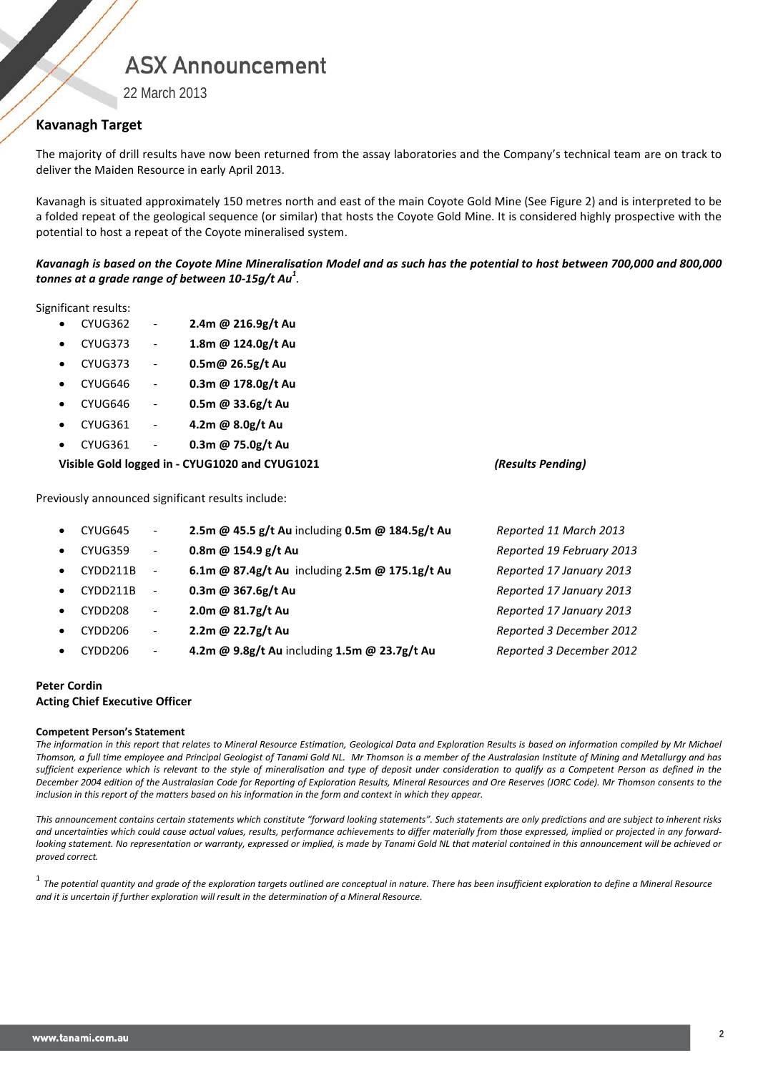# **ASX Announcement**

22 March 2013

## **Kavanagh Target**

The majority of drill results have now been returned from the assay laboratories and the Company's technical team are on track to deliver the Maiden Resource in early April 2013.

Kavanagh is situated approximately 150 metres north and east of the main Coyote Gold Mine (See Figure 2) and is interpreted to be a folded repeat of the geological sequence (or similar) that hosts the Coyote Gold Mine. It is considered highly prospective with the potential to host a repeat of the Coyote mineralised system.

*Kavanagh is based on the Coyote Mine Mineralisation Model and as such has the potential to host between 700,000 and 800,000 tonnes at a grade range of between 10-15g/t Au<sup>1</sup> .*

Significant results:

- CYUG362 **2.4m @ 216.9g/t Au**
- CYUG373 **1.8m @ 124.0g/t Au**
- CYUG373 **0.5m@ 26.5g/t Au**
- CYUG646 **0.3m @ 178.0g/t Au**
- CYUG646 **0.5m @ 33.6g/t Au**
- CYUG361 **4.2m @ 8.0g/t Au**
- CYUG361 **0.3m @ 75.0g/t Au**

### **Visible Gold logged in - CYUG1020 and CYUG1021** *(Results Pending)*

Previously announced significant results include:

| $\bullet$ | CYUG645             | $\overline{\phantom{a}}$ | 2.5m @ 45.5 g/t Au including 0.5m @ 184.5g/t Au | Reported 11 March 2013    |
|-----------|---------------------|--------------------------|-------------------------------------------------|---------------------------|
| $\bullet$ | CYUG359             | $\overline{\phantom{a}}$ | 0.8m @ 154.9 g/t Au                             | Reported 19 February 2013 |
| $\bullet$ | CYDD211B            | $\overline{\phantom{a}}$ | 6.1m @ 87.4g/t Au including 2.5m @ 175.1g/t Au  | Reported 17 January 2013  |
| $\bullet$ | CYDD211B            | $\overline{\phantom{a}}$ | 0.3m @ 367.6g/t Au                              | Reported 17 January 2013  |
| $\bullet$ | CYDD208             | $\overline{\phantom{a}}$ | 2.0m @ 81.7g/t Au                               | Reported 17 January 2013  |
| $\bullet$ | CYDD <sub>206</sub> | $\overline{\phantom{a}}$ | 2.2m @ 22.7g/t Au                               | Reported 3 December 2012  |
| $\bullet$ | CYDD <sub>206</sub> | $\overline{\phantom{a}}$ | 4.2m @ 9.8g/t Au including 1.5m @ 23.7g/t Au    | Reported 3 December 2012  |

### **Peter Cordin Acting Chief Executive Officer**

#### **Competent Person's Statement**

*The information in this report that relates to Mineral Resource Estimation, Geological Data and Exploration Results is based on information compiled by Mr Michael Thomson, a full time employee and Principal Geologist of Tanami Gold NL. Mr Thomson is a member of the Australasian Institute of Mining and Metallurgy and has sufficient experience which is relevant to the style of mineralisation and type of deposit under consideration to qualify as a Competent Person as defined in the December 2004 edition of the Australasian Code for Reporting of Exploration Results, Mineral Resources and Ore Reserves (JORC Code). Mr Thomson consents to the inclusion in this report of the matters based on his information in the form and context in which they appear.*

This announcement contains certain statements which constitute "forward looking statements". Such statements are only predictions and are subject to inherent risks *and uncertainties which could cause actual values, results, performance achievements to differ materially from those expressed, implied or projected in any forward*looking statement. No representation or warranty, expressed or implied, is made by Tanami Gold NL that material contained in this announcement will be achieved or *proved correct.*

<sup>1</sup> *The potential quantity and grade of the exploration targets outlined are conceptual in nature. There has been insufficient exploration to define a Mineral Resource and it is uncertain if further exploration will result in the determination of a Mineral Resource.*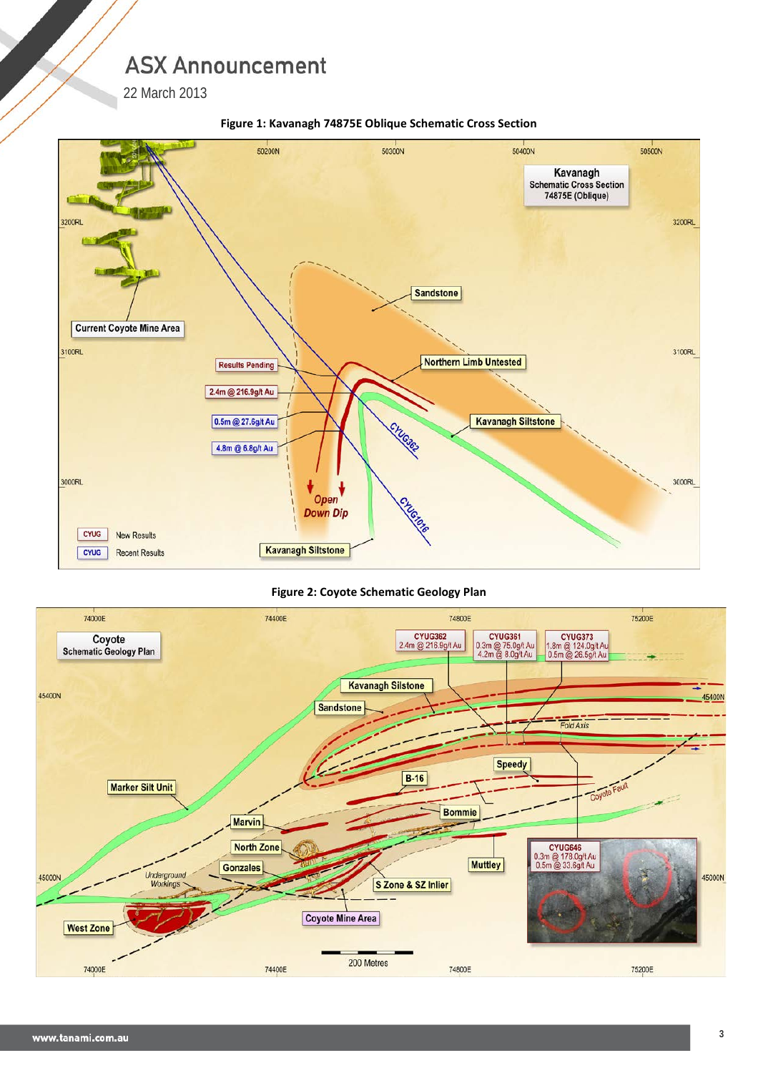**ASX Announcement** 

22 March 2013



## **Figure 1: Kavanagh 74875E Oblique Schematic Cross Section**